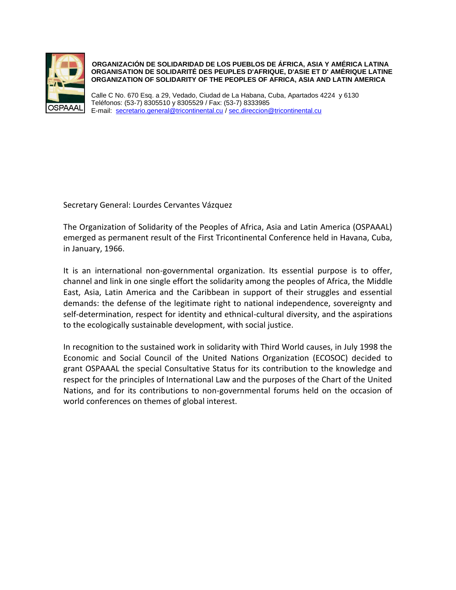

**ORGANIZACIÓN DE SOLIDARIDAD DE LOS PUEBLOS DE ÁFRICA, ASIA Y AMÉRICA LATINA ORGANISATION DE SOLIDARITÉ DES PEUPLES D'AFRIQUE, D'ASIE ET D' AMÉRIQUE LATINE ORGANIZATION OF SOLIDARITY OF THE PEOPLES OF AFRICA, ASIA AND LATIN AMERICA**

 Calle C No. 670 Esq. a 29, Vedado, Ciudad de La Habana, Cuba, Apartados 4224 y 6130 Teléfonos: (53-7) 8305510 y 8305529 / Fax: (53-7) 8333985 E-mail: [secretario.general@tricontinental.cu](mailto:secretario.general@tricontinental.cu) / [sec.direccion@tricontinental.cu](mailto:sec.direccion@tricontinental.cu)

Secretary General: Lourdes Cervantes Vázquez

The Organization of Solidarity of the Peoples of Africa, Asia and Latin America (OSPAAAL) emerged as permanent result of the First Tricontinental Conference held in Havana, Cuba, in January, 1966.

It is an international non-governmental organization. Its essential purpose is to offer, channel and link in one single effort the solidarity among the peoples of Africa, the Middle East, Asia, Latin America and the Caribbean in support of their struggles and essential demands: the defense of the legitimate right to national independence, sovereignty and self-determination, respect for identity and ethnical-cultural diversity, and the aspirations to the ecologically sustainable development, with social justice.

In recognition to the sustained work in solidarity with Third World causes, in July 1998 the Economic and Social Council of the United Nations Organization (ECOSOC) decided to grant OSPAAAL the special Consultative Status for its contribution to the knowledge and respect for the principles of International Law and the purposes of the Chart of the United Nations, and for its contributions to non-governmental forums held on the occasion of world conferences on themes of global interest.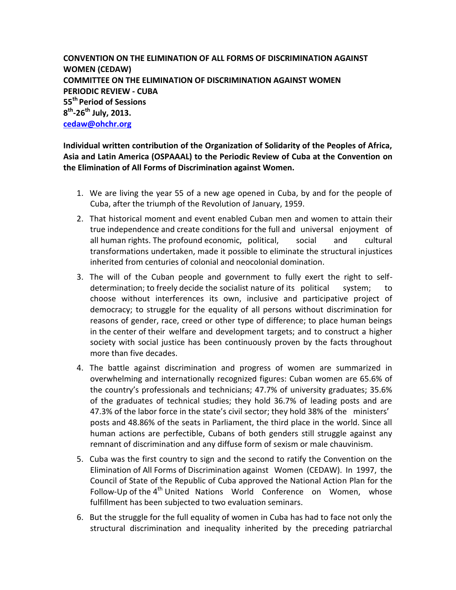**CONVENTION ON THE ELIMINATION OF ALL FORMS OF DISCRIMINATION AGAINST WOMEN (CEDAW) COMMITTEE ON THE ELIMINATION OF DISCRIMINATION AGAINST WOMEN PERIODIC REVIEW - CUBA 55th Period of Sessions 8 th -26th July, 2013. [cedaw@ohchr.org](mailto:cedaw@ohchr.org)**

**Individual written contribution of the Organization of Solidarity of the Peoples of Africa, Asia and Latin America (OSPAAAL) to the Periodic Review of Cuba at the Convention on the Elimination of All Forms of Discrimination against Women.**

- 1. We are living the year 55 of a new age opened in Cuba, by and for the people of Cuba, after the triumph of the Revolution of January, 1959.
- 2. That historical moment and event enabled Cuban men and women to attain their true independence and create conditions for the full and universal enjoyment of all human rights. The profound economic, political, social and cultural transformations undertaken, made it possible to eliminate the structural injustices inherited from centuries of colonial and neocolonial domination.
- 3. The will of the Cuban people and government to fully exert the right to selfdetermination; to freely decide the socialist nature of its political system; to choose without interferences its own, inclusive and participative project of democracy; to struggle for the equality of all persons without discrimination for reasons of gender, race, creed or other type of difference; to place human beings in the center of their welfare and development targets; and to construct a higher society with social justice has been continuously proven by the facts throughout more than five decades.
- 4. The battle against discrimination and progress of women are summarized in overwhelming and internationally recognized figures: Cuban women are 65.6% of the country's professionals and technicians; 47.7% of university graduates; 35.6% of the graduates of technical studies; they hold 36.7% of leading posts and are 47.3% of the labor force in the state's civil sector; they hold 38% of the ministers' posts and 48.86% of the seats in Parliament, the third place in the world. Since all human actions are perfectible, Cubans of both genders still struggle against any remnant of discrimination and any diffuse form of sexism or male chauvinism.
- 5. Cuba was the first country to sign and the second to ratify the Convention on the Elimination of All Forms of Discrimination against Women (CEDAW). In 1997, the Council of State of the Republic of Cuba approved the National Action Plan for the Follow-Up of the 4<sup>th</sup> United Nations World Conference on Women, whose fulfillment has been subjected to two evaluation seminars.
- 6. But the struggle for the full equality of women in Cuba has had to face not only the structural discrimination and inequality inherited by the preceding patriarchal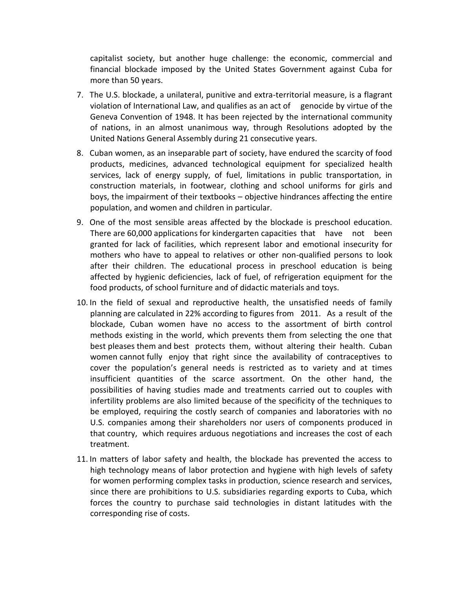capitalist society, but another huge challenge: the economic, commercial and financial blockade imposed by the United States Government against Cuba for more than 50 years.

- 7. The U.S. blockade, a unilateral, punitive and extra-territorial measure, is a flagrant violation of International Law, and qualifies as an act of genocide by virtue of the Geneva Convention of 1948. It has been rejected by the international community of nations, in an almost unanimous way, through Resolutions adopted by the United Nations General Assembly during 21 consecutive years.
- 8. Cuban women, as an inseparable part of society, have endured the scarcity of food products, medicines, advanced technological equipment for specialized health services, lack of energy supply, of fuel, limitations in public transportation, in construction materials, in footwear, clothing and school uniforms for girls and boys, the impairment of their textbooks – objective hindrances affecting the entire population, and women and children in particular.
- 9. One of the most sensible areas affected by the blockade is preschool education. There are 60,000 applications for kindergarten capacities that have not been granted for lack of facilities, which represent labor and emotional insecurity for mothers who have to appeal to relatives or other non-qualified persons to look after their children. The educational process in preschool education is being affected by hygienic deficiencies, lack of fuel, of refrigeration equipment for the food products, of school furniture and of didactic materials and toys.
- 10. In the field of sexual and reproductive health, the unsatisfied needs of family planning are calculated in 22% according to figures from 2011. As a result of the blockade, Cuban women have no access to the assortment of birth control methods existing in the world, which prevents them from selecting the one that best pleases them and best protects them, without altering their health. Cuban women cannot fully enjoy that right since the availability of contraceptives to cover the population's general needs is restricted as to variety and at times insufficient quantities of the scarce assortment. On the other hand, the possibilities of having studies made and treatments carried out to couples with infertility problems are also limited because of the specificity of the techniques to be employed, requiring the costly search of companies and laboratories with no U.S. companies among their shareholders nor users of components produced in that country, which requires arduous negotiations and increases the cost of each treatment.
- 11. In matters of labor safety and health, the blockade has prevented the access to high technology means of labor protection and hygiene with high levels of safety for women performing complex tasks in production, science research and services, since there are prohibitions to U.S. subsidiaries regarding exports to Cuba, which forces the country to purchase said technologies in distant latitudes with the corresponding rise of costs.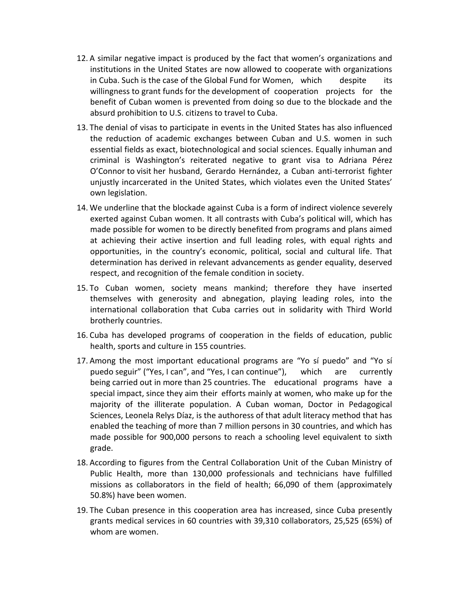- 12. A similar negative impact is produced by the fact that women's organizations and institutions in the United States are now allowed to cooperate with organizations in Cuba. Such is the case of the Global Fund for Women, which despite its willingness to grant funds for the development of cooperation projects for the benefit of Cuban women is prevented from doing so due to the blockade and the absurd prohibition to U.S. citizens to travel to Cuba.
- 13. The denial of visas to participate in events in the United States has also influenced the reduction of academic exchanges between Cuban and U.S. women in such essential fields as exact, biotechnological and social sciences. Equally inhuman and criminal is Washington's reiterated negative to grant visa to Adriana Pérez O'Connor to visit her husband, Gerardo Hernández, a Cuban anti-terrorist fighter unjustly incarcerated in the United States, which violates even the United States' own legislation.
- 14. We underline that the blockade against Cuba is a form of indirect violence severely exerted against Cuban women. It all contrasts with Cuba's political will, which has made possible for women to be directly benefited from programs and plans aimed at achieving their active insertion and full leading roles, with equal rights and opportunities, in the country's economic, political, social and cultural life. That determination has derived in relevant advancements as gender equality, deserved respect, and recognition of the female condition in society.
- 15. To Cuban women, society means mankind; therefore they have inserted themselves with generosity and abnegation, playing leading roles, into the international collaboration that Cuba carries out in solidarity with Third World brotherly countries.
- 16. Cuba has developed programs of cooperation in the fields of education, public health, sports and culture in 155 countries.
- 17. Among the most important educational programs are "Yo sí puedo" and "Yo sí puedo seguir" ("Yes, I can", and "Yes, I can continue"), which are currently being carried out in more than 25 countries. The educational programs have a special impact, since they aim their efforts mainly at women, who make up for the majority of the illiterate population. A Cuban woman, Doctor in Pedagogical Sciences, Leonela Relys Díaz, is the authoress of that adult literacy method that has enabled the teaching of more than 7 million persons in 30 countries, and which has made possible for 900,000 persons to reach a schooling level equivalent to sixth grade.
- 18. According to figures from the Central Collaboration Unit of the Cuban Ministry of Public Health, more than 130,000 professionals and technicians have fulfilled missions as collaborators in the field of health; 66,090 of them (approximately 50.8%) have been women.
- 19. The Cuban presence in this cooperation area has increased, since Cuba presently grants medical services in 60 countries with 39,310 collaborators, 25,525 (65%) of whom are women.